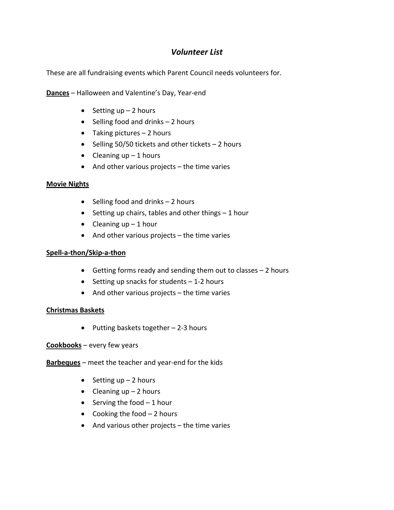# *Volunteer List*

These are all fundraising events which Parent Council needs volunteers for.

**Dances** – Halloween and Valentine's Day, Year‐end

- Setting  $up 2$  hours
- Selling food and drinks 2 hours
- Taking pictures 2 hours
- Selling 50/50 tickets and other tickets 2 hours
- Cleaning  $up 1$  hours
- And other various projects the time varies

#### **Movie Nights**

- Selling food and drinks 2 hours
- Setting up chairs, tables and other things 1 hour
- Cleaning  $up 1$  hour
- And other various projects the time varies

#### **Spell‐a‐thon/Skip‐a‐thon**

- Getting forms ready and sending them out to classes 2 hours
- Setting up snacks for students 1‐2 hours
- And other various projects the time varies

#### **Christmas Baskets**

• Putting baskets together – 2‐3 hours

**Cookbooks** – every few years

**Barbeques** – meet the teacher and year‐end for the kids

- Setting  $up 2$  hours
- Cleaning  $up 2$  hours
- Serving the food 1 hour
- Cooking the food 2 hours
- And various other projects the time varies